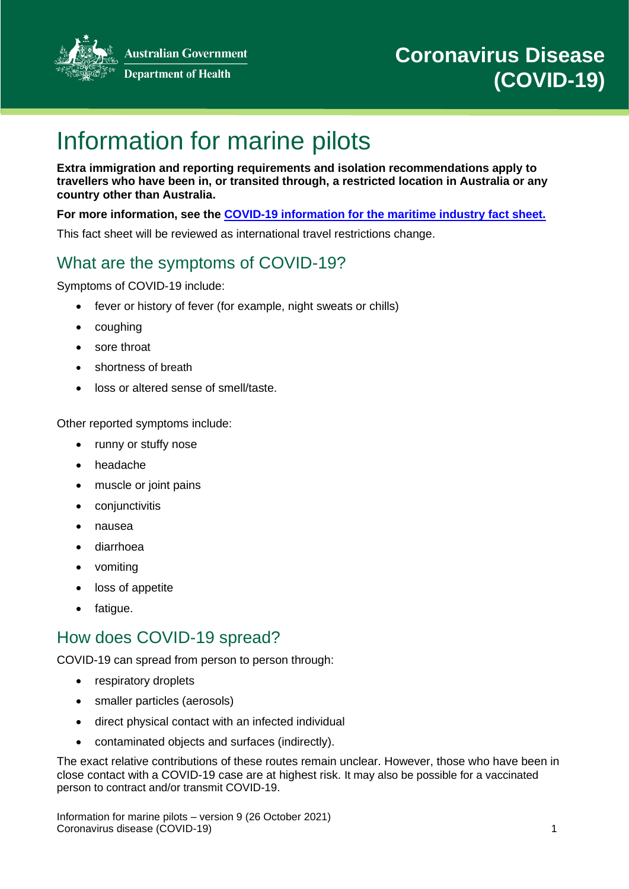**Australian Government** 



**Department of Health** 

# Information for marine pilots

**Extra immigration and reporting requirements and isolation recommendations apply to travellers who have been in, or transited through, a restricted location in Australia or any country other than Australia.**

**For more information, see the [COVID-19 information for the maritime industry fact sheet.](https://www.health.gov.au/resources/publications/coronavirus-covid-19-information-for-the-marine-industry)**

This fact sheet will be reviewed as international travel restrictions change.

# What are the symptoms of COVID-19?

Symptoms of COVID-19 include:

- fever or history of fever (for example, night sweats or chills)
- coughing
- sore throat
- shortness of breath
- loss or altered sense of smell/taste.

Other reported symptoms include:

- runny or stuffy nose
- headache
- muscle or joint pains
- conjunctivitis
- nausea
- diarrhoea
- vomiting
- loss of appetite
- fatigue.

### How does COVID-19 spread?

COVID-19 can spread from person to person through:

- respiratory droplets
- smaller particles (aerosols)
- direct physical contact with an infected individual
- contaminated objects and surfaces (indirectly).

The exact relative contributions of these routes remain unclear. However, those who have been in close contact with a COVID-19 case are at highest risk. It may also be possible for a vaccinated person to contract and/or transmit COVID-19.

Information for marine pilots – version 9 (26 October 2021) Coronavirus disease (COVID-19) 1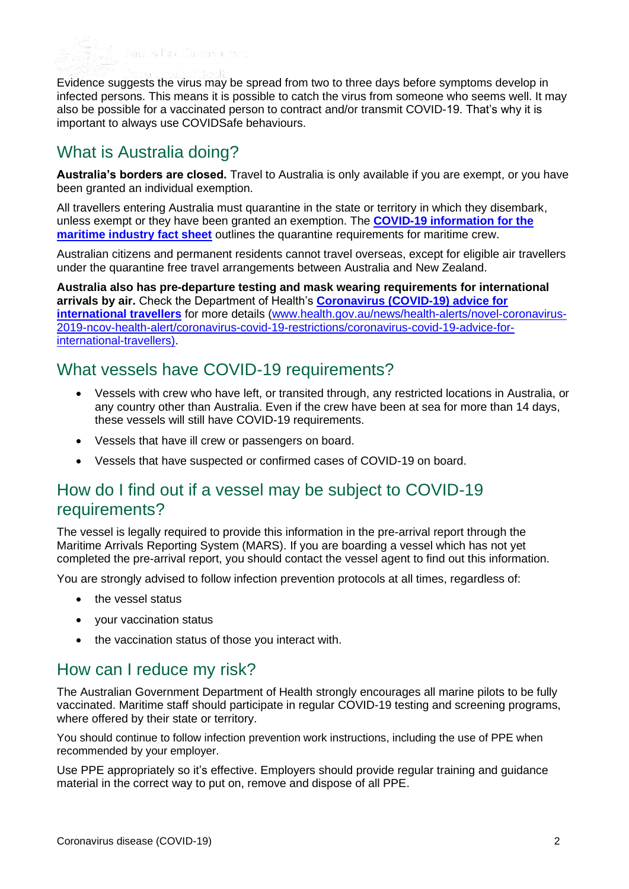

Evidence suggests the virus may be spread from two to three days before symptoms develop in infected persons. This means it is possible to catch the virus from someone who seems well. It may also be possible for a vaccinated person to contract and/or transmit COVID-19. That's why it is important to always use COVIDSafe behaviours.

## What is Australia doing?

**Australia's borders are closed.** Travel to Australia is only available if you are exempt, or you have been granted an individual exemption.

All travellers entering Australia must quarantine in the state or territory in which they disembark, unless exempt or they have been granted an exemption. The **[COVID-19 information for the](https://www.health.gov.au/resources/publications/coronavirus-covid-19-information-for-the-marine-industry)  [maritime industry fact sheet](https://www.health.gov.au/resources/publications/coronavirus-covid-19-information-for-the-marine-industry)** outlines the quarantine requirements for maritime crew.

Australian citizens and permanent residents cannot travel overseas, except for eligible air travellers under the quarantine free travel arrangements between Australia and New Zealand.

**Australia also has pre-departure testing and mask wearing requirements for international arrivals by air.** Check the Department of Health's **[Coronavirus \(COVID-19\) advice for](https://www.health.gov.au/news/health-alerts/novel-coronavirus-2019-ncov-health-alert/coronavirus-covid-19-restrictions/coronavirus-covid-19-advice-for-international-travellers)  [international travellers](https://www.health.gov.au/news/health-alerts/novel-coronavirus-2019-ncov-health-alert/coronavirus-covid-19-restrictions/coronavirus-covid-19-advice-for-international-travellers)** for more details [\(www.health.gov.au/news/health-alerts/novel-coronavirus-](http://www.health.gov.au/news/health-alerts/novel-coronavirus-2019-ncov-health-alert/coronavirus-covid-19-restrictions/coronavirus-covid-19-advice-for-international-travellers)[2019-ncov-health-alert/coronavirus-covid-19-restrictions/coronavirus-covid-19-advice-for](http://www.health.gov.au/news/health-alerts/novel-coronavirus-2019-ncov-health-alert/coronavirus-covid-19-restrictions/coronavirus-covid-19-advice-for-international-travellers)[international-travellers\)](http://www.health.gov.au/news/health-alerts/novel-coronavirus-2019-ncov-health-alert/coronavirus-covid-19-restrictions/coronavirus-covid-19-advice-for-international-travellers).

### What vessels have COVID-19 requirements?

- Vessels with crew who have left, or transited through, any restricted locations in Australia, or any country other than Australia. Even if the crew have been at sea for more than 14 days, these vessels will still have COVID-19 requirements.
- Vessels that have ill crew or passengers on board.
- Vessels that have suspected or confirmed cases of COVID-19 on board.

#### How do I find out if a vessel may be subject to COVID-19 requirements?

The vessel is legally required to provide this information in the pre-arrival report through the Maritime Arrivals Reporting System (MARS). If you are boarding a vessel which has not yet completed the pre-arrival report, you should contact the vessel agent to find out this information.

You are strongly advised to follow infection prevention protocols at all times, regardless of:

- the vessel status
- your vaccination status
- the vaccination status of those you interact with.

### How can I reduce my risk?

The Australian Government Department of Health strongly encourages all marine pilots to be fully vaccinated. Maritime staff should participate in regular COVID-19 testing and screening programs, where offered by their state or territory.

You should continue to follow infection prevention work instructions, including the use of PPE when recommended by your employer.

Use PPE appropriately so it's effective. Employers should provide regular training and guidance material in the correct way to put on, remove and dispose of all PPE.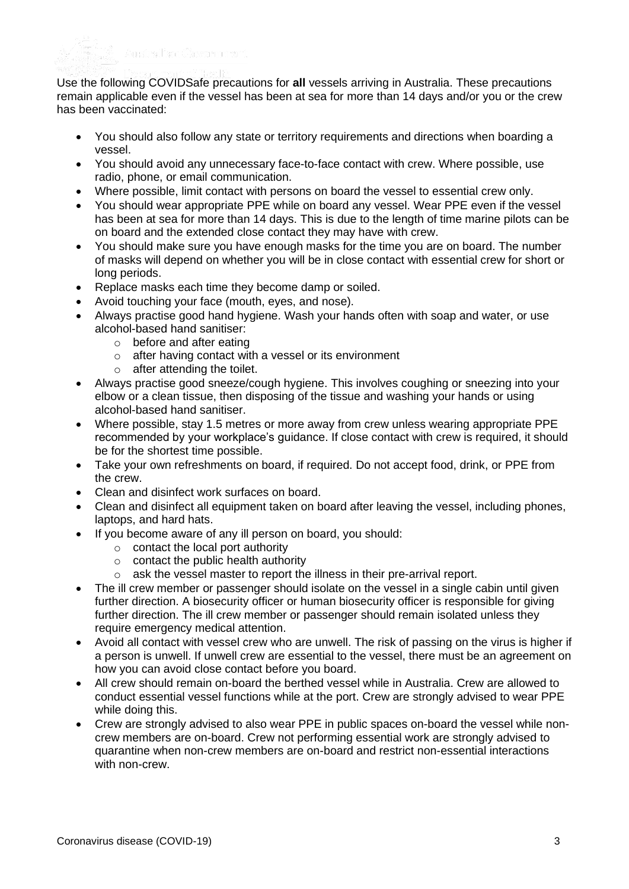

Use the following COVIDSafe precautions for **all** vessels arriving in Australia. These precautions remain applicable even if the vessel has been at sea for more than 14 days and/or you or the crew has been vaccinated:

- You should also follow any state or territory requirements and directions when boarding a vessel.
- You should avoid any unnecessary face-to-face contact with crew. Where possible, use radio, phone, or email communication.
- Where possible, limit contact with persons on board the vessel to essential crew only.
- You should wear appropriate PPE while on board any vessel. Wear PPE even if the vessel has been at sea for more than 14 days. This is due to the length of time marine pilots can be on board and the extended close contact they may have with crew.
- You should make sure you have enough masks for the time you are on board. The number of masks will depend on whether you will be in close contact with essential crew for short or long periods.
- Replace masks each time they become damp or soiled.
- Avoid touching your face (mouth, eyes, and nose).
- Always practise good hand hygiene. Wash your hands often with soap and water, or use alcohol-based hand sanitiser:
	- o before and after eating
	- o after having contact with a vessel or its environment
	- o after attending the toilet.
- Always practise good sneeze/cough hygiene. This involves coughing or sneezing into your elbow or a clean tissue, then disposing of the tissue and washing your hands or using alcohol-based hand sanitiser.
- Where possible, stay 1.5 metres or more away from crew unless wearing appropriate PPE recommended by your workplace's guidance. If close contact with crew is required, it should be for the shortest time possible.
- Take your own refreshments on board, if required. Do not accept food, drink, or PPE from the crew.
- Clean and disinfect work surfaces on board.
- Clean and disinfect all equipment taken on board after leaving the vessel, including phones, laptops, and hard hats.
- If you become aware of any ill person on board, you should:
	- $\circ$  contact the local port authority
	- $\circ$  contact the public health authority
	- o ask the vessel master to report the illness in their pre-arrival report.
- The ill crew member or passenger should isolate on the vessel in a single cabin until given further direction. A biosecurity officer or human biosecurity officer is responsible for giving further direction. The ill crew member or passenger should remain isolated unless they require emergency medical attention.
- Avoid all contact with vessel crew who are unwell. The risk of passing on the virus is higher if a person is unwell. If unwell crew are essential to the vessel, there must be an agreement on how you can avoid close contact before you board.
- All crew should remain on-board the berthed vessel while in Australia. Crew are allowed to conduct essential vessel functions while at the port. Crew are strongly advised to wear PPE while doing this.
- Crew are strongly advised to also wear PPE in public spaces on-board the vessel while noncrew members are on-board. Crew not performing essential work are strongly advised to quarantine when non-crew members are on-board and restrict non-essential interactions with non-crew.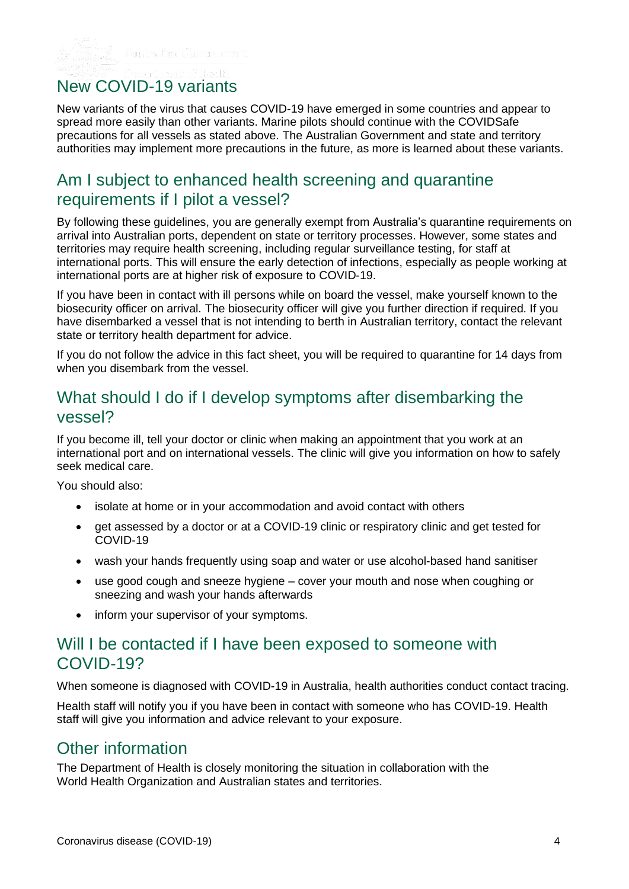### New COVID-19 variants

New variants of the virus that causes COVID-19 have emerged in some countries and appear to spread more easily than other variants. Marine pilots should continue with the COVIDSafe precautions for all vessels as stated above. The Australian Government and state and territory authorities may implement more precautions in the future, as more is learned about these variants.

#### Am I subject to enhanced health screening and quarantine requirements if I pilot a vessel?

By following these guidelines, you are generally exempt from Australia's quarantine requirements on arrival into Australian ports, dependent on state or territory processes. However, some states and territories may require health screening, including regular surveillance testing, for staff at international ports. This will ensure the early detection of infections, especially as people working at international ports are at higher risk of exposure to COVID-19.

If you have been in contact with ill persons while on board the vessel, make yourself known to the biosecurity officer on arrival. The biosecurity officer will give you further direction if required. If you have disembarked a vessel that is not intending to berth in Australian territory, contact the relevant state or territory health department for advice.

If you do not follow the advice in this fact sheet, you will be required to quarantine for 14 days from when you disembark from the vessel.

#### What should I do if I develop symptoms after disembarking the vessel?

If you become ill, tell your doctor or clinic when making an appointment that you work at an international port and on international vessels. The clinic will give you information on how to safely seek medical care.

You should also:

- isolate at home or in your accommodation and avoid contact with others
- get assessed by a doctor or at a COVID-19 clinic or respiratory clinic and get tested for COVID-19
- wash your hands frequently using soap and water or use alcohol-based hand sanitiser
- use good cough and sneeze hygiene cover your mouth and nose when coughing or sneezing and wash your hands afterwards
- inform your supervisor of your symptoms.

#### Will I be contacted if I have been exposed to someone with COVID-19?

When someone is diagnosed with COVID-19 in Australia, health authorities conduct contact tracing.

Health staff will notify you if you have been in contact with someone who has COVID-19. Health staff will give you information and advice relevant to your exposure.

### Other information

The Department of Health is closely monitoring the situation in collaboration with the World Health Organization and Australian states and territories.